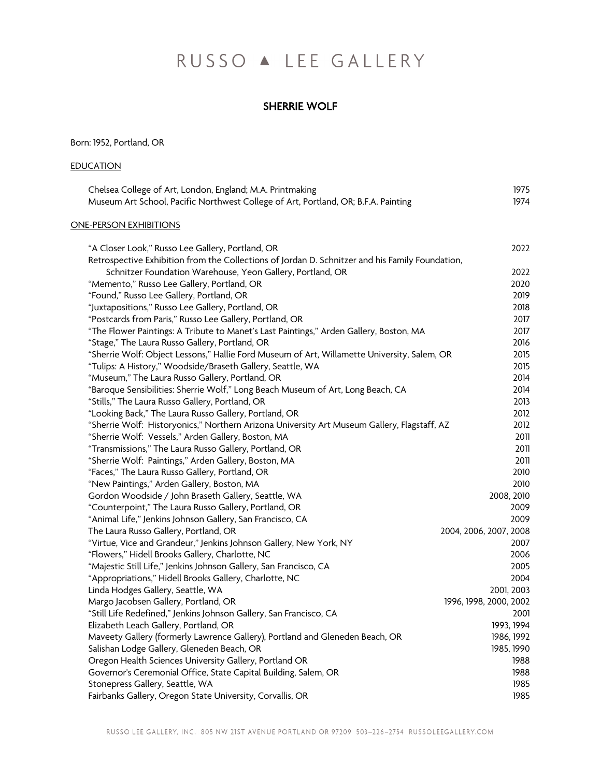# RUSSO A LEE GALLERY

# SHERRIE WOLF

Born: 1952, Portland, OR

# **EDUCATION**

| Chelsea College of Art, London, England; M.A. Printmaking                                       | 1975                   |
|-------------------------------------------------------------------------------------------------|------------------------|
| Museum Art School, Pacific Northwest College of Art, Portland, OR; B.F.A. Painting              | 1974                   |
| <b>ONE-PERSON EXHIBITIONS</b>                                                                   |                        |
| "A Closer Look," Russo Lee Gallery, Portland, OR                                                | 2022                   |
| Retrospective Exhibition from the Collections of Jordan D. Schnitzer and his Family Foundation, |                        |
| Schnitzer Foundation Warehouse, Yeon Gallery, Portland, OR                                      | 2022                   |
| "Memento," Russo Lee Gallery, Portland, OR                                                      | 2020                   |
| "Found," Russo Lee Gallery, Portland, OR                                                        | 2019                   |
| "Juxtapositions," Russo Lee Gallery, Portland, OR                                               | 2018                   |
| "Postcards from Paris," Russo Lee Gallery, Portland, OR                                         | 2017                   |
| "The Flower Paintings: A Tribute to Manet's Last Paintings," Arden Gallery, Boston, MA          | 2017                   |
| "Stage," The Laura Russo Gallery, Portland, OR                                                  | 2016                   |
| "Sherrie Wolf: Object Lessons," Hallie Ford Museum of Art, Willamette University, Salem, OR     | 2015                   |
| "Tulips: A History," Woodside/Braseth Gallery, Seattle, WA                                      | 2015                   |
| "Museum," The Laura Russo Gallery, Portland, OR                                                 | 2014                   |
| "Baroque Sensibilities: Sherrie Wolf," Long Beach Museum of Art, Long Beach, CA                 | 2014                   |
| "Stills," The Laura Russo Gallery, Portland, OR                                                 | 2013                   |
| "Looking Back," The Laura Russo Gallery, Portland, OR                                           | 2012                   |
| "Sherrie Wolf: Historyonics," Northern Arizona University Art Museum Gallery, Flagstaff, AZ     | 2012                   |
| "Sherrie Wolf: Vessels," Arden Gallery, Boston, MA                                              | 2011                   |
| "Transmissions," The Laura Russo Gallery, Portland, OR                                          | 2011                   |
| "Sherrie Wolf: Paintings," Arden Gallery, Boston, MA                                            | 2011                   |
| "Faces," The Laura Russo Gallery, Portland, OR                                                  | 2010                   |
| "New Paintings," Arden Gallery, Boston, MA                                                      | 2010                   |
| Gordon Woodside / John Braseth Gallery, Seattle, WA                                             | 2008, 2010             |
| "Counterpoint," The Laura Russo Gallery, Portland, OR                                           | 2009                   |
| "Animal Life," Jenkins Johnson Gallery, San Francisco, CA                                       | 2009                   |
| The Laura Russo Gallery, Portland, OR                                                           | 2004, 2006, 2007, 2008 |
| "Virtue, Vice and Grandeur," Jenkins Johnson Gallery, New York, NY                              | 2007                   |
| "Flowers," Hidell Brooks Gallery, Charlotte, NC                                                 | 2006                   |
| "Majestic Still Life," Jenkins Johnson Gallery, San Francisco, CA                               | 2005                   |
| "Appropriations," Hidell Brooks Gallery, Charlotte, NC                                          | 2004                   |
| Linda Hodges Gallery, Seattle, WA                                                               | 2001, 2003             |
| Margo Jacobsen Gallery, Portland, OR                                                            | 1996, 1998, 2000, 2002 |
| "Still Life Redefined," Jenkins Johnson Gallery, San Francisco, CA                              | 2001                   |
| Elizabeth Leach Gallery, Portland, OR                                                           | 1993, 1994             |
| Maveety Gallery (formerly Lawrence Gallery), Portland and Gleneden Beach, OR                    | 1986, 1992             |
| Salishan Lodge Gallery, Gleneden Beach, OR                                                      | 1985, 1990             |
| Oregon Health Sciences University Gallery, Portland OR                                          | 1988                   |
| Governor's Ceremonial Office, State Capital Building, Salem, OR                                 | 1988                   |
| Stonepress Gallery, Seattle, WA                                                                 | 1985                   |
| Fairbanks Gallery, Oregon State University, Corvallis, OR                                       | 1985                   |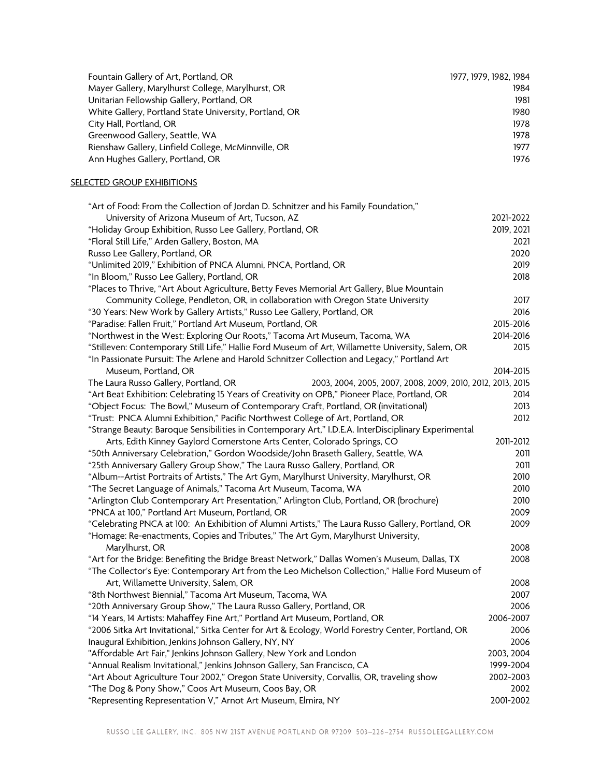| Fountain Gallery of Art, Portland, OR                  | 1977, 1979, 1982, 1984 |
|--------------------------------------------------------|------------------------|
| Mayer Gallery, Marylhurst College, Marylhurst, OR      | 1984                   |
| Unitarian Fellowship Gallery, Portland, OR             | 1981                   |
| White Gallery, Portland State University, Portland, OR | 1980                   |
| City Hall, Portland, OR                                | 1978                   |
| Greenwood Gallery, Seattle, WA                         | 1978                   |
| Rienshaw Gallery, Linfield College, McMinnville, OR    | 1977                   |
| Ann Hughes Gallery, Portland, OR                       | 1976                   |

# **SELECTED GROUP EXHIBITIONS**

| "Art of Food: From the Collection of Jordan D. Schnitzer and his Family Foundation,"                 |            |
|------------------------------------------------------------------------------------------------------|------------|
| University of Arizona Museum of Art, Tucson, AZ                                                      | 2021-2022  |
| "Holiday Group Exhibition, Russo Lee Gallery, Portland, OR                                           | 2019, 2021 |
| "Floral Still Life," Arden Gallery, Boston, MA                                                       | 2021       |
| Russo Lee Gallery, Portland, OR                                                                      | 2020       |
| "Unlimited 2019," Exhibition of PNCA Alumni, PNCA, Portland, OR                                      | 2019       |
| "In Bloom," Russo Lee Gallery, Portland, OR                                                          | 2018       |
| "Places to Thrive, "Art About Agriculture, Betty Feves Memorial Art Gallery, Blue Mountain           |            |
| Community College, Pendleton, OR, in collaboration with Oregon State University                      | 2017       |
| "30 Years: New Work by Gallery Artists," Russo Lee Gallery, Portland, OR                             | 2016       |
| "Paradise: Fallen Fruit," Portland Art Museum, Portland, OR                                          | 2015-2016  |
| "Northwest in the West: Exploring Our Roots," Tacoma Art Museum, Tacoma, WA                          | 2014-2016  |
| "Stilleven: Contemporary Still Life," Hallie Ford Museum of Art, Willamette University, Salem, OR    | 2015       |
| "In Passionate Pursuit: The Arlene and Harold Schnitzer Collection and Legacy," Portland Art         |            |
| Museum, Portland, OR                                                                                 | 2014-2015  |
| The Laura Russo Gallery, Portland, OR<br>2003, 2004, 2005, 2007, 2008, 2009, 2010, 2012, 2013, 2015  |            |
| "Art Beat Exhibition: Celebrating 15 Years of Creativity on OPB," Pioneer Place, Portland, OR        | 2014       |
| "Object Focus: The Bowl," Museum of Contemporary Craft, Portland, OR (invitational)                  | 2013       |
| "Trust: PNCA Alumni Exhibition," Pacific Northwest College of Art, Portland, OR                      | 2012       |
| "Strange Beauty: Baroque Sensibilities in Contemporary Art," I.D.E.A. InterDisciplinary Experimental |            |
| Arts, Edith Kinney Gaylord Cornerstone Arts Center, Colorado Springs, CO                             | 2011-2012  |
| "50th Anniversary Celebration," Gordon Woodside/John Braseth Gallery, Seattle, WA                    | 2011       |
| "25th Anniversary Gallery Group Show," The Laura Russo Gallery, Portland, OR                         | 2011       |
| "Album--Artist Portraits of Artists," The Art Gym, Marylhurst University, Marylhurst, OR             | 2010       |
| "The Secret Language of Animals," Tacoma Art Museum, Tacoma, WA                                      | 2010       |
| "Arlington Club Contemporary Art Presentation," Arlington Club, Portland, OR (brochure)              | 2010       |
| "PNCA at 100," Portland Art Museum, Portland, OR                                                     | 2009       |
| "Celebrating PNCA at 100: An Exhibition of Alumni Artists," The Laura Russo Gallery, Portland, OR    | 2009       |
| "Homage: Re-enactments, Copies and Tributes," The Art Gym, Marylhurst University,                    |            |
| Marylhurst, OR                                                                                       | 2008       |
| "Art for the Bridge: Benefiting the Bridge Breast Network," Dallas Women's Museum, Dallas, TX        | 2008       |
| "The Collector's Eye: Contemporary Art from the Leo Michelson Collection," Hallie Ford Museum of     |            |
| Art, Willamette University, Salem, OR                                                                | 2008       |
| "8th Northwest Biennial," Tacoma Art Museum, Tacoma, WA                                              | 2007       |
| "20th Anniversary Group Show," The Laura Russo Gallery, Portland, OR                                 | 2006       |
| "14 Years, 14 Artists: Mahaffey Fine Art," Portland Art Museum, Portland, OR                         | 2006-2007  |
| "2006 Sitka Art Invitational," Sitka Center for Art & Ecology, World Forestry Center, Portland, OR   | 2006       |
| Inaugural Exhibition, Jenkins Johnson Gallery, NY, NY                                                | 2006       |
| "Affordable Art Fair," Jenkins Johnson Gallery, New York and London                                  | 2003, 2004 |
| "Annual Realism Invitational," Jenkins Johnson Gallery, San Francisco, CA                            | 1999-2004  |
| "Art About Agriculture Tour 2002," Oregon State University, Corvallis, OR, traveling show            | 2002-2003  |
| "The Dog & Pony Show," Coos Art Museum, Coos Bay, OR                                                 | 2002       |
| "Representing Representation V," Arnot Art Museum, Elmira, NY                                        | 2001-2002  |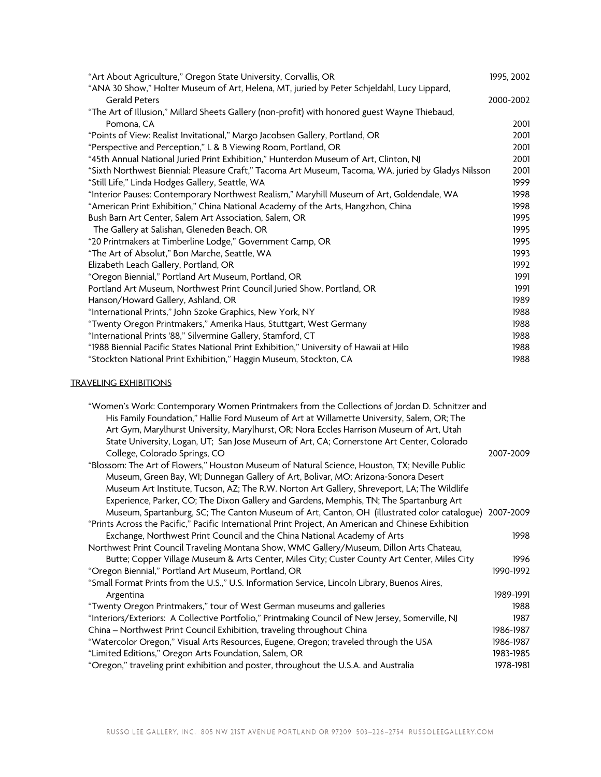| "Art About Agriculture," Oregon State University, Corvallis, OR                                     | 1995, 2002 |
|-----------------------------------------------------------------------------------------------------|------------|
| "ANA 30 Show," Holter Museum of Art, Helena, MT, juried by Peter Schjeldahl, Lucy Lippard,          |            |
| <b>Gerald Peters</b>                                                                                | 2000-2002  |
| "The Art of Illusion," Millard Sheets Gallery (non-profit) with honored guest Wayne Thiebaud,       |            |
| Pomona, CA                                                                                          | 2001       |
| "Points of View: Realist Invitational," Margo Jacobsen Gallery, Portland, OR                        | 2001       |
| "Perspective and Perception," L & B Viewing Room, Portland, OR                                      | 2001       |
| "45th Annual National Juried Print Exhibition," Hunterdon Museum of Art, Clinton, NJ                | 2001       |
| "Sixth Northwest Biennial: Pleasure Craft," Tacoma Art Museum, Tacoma, WA, juried by Gladys Nilsson | 2001       |
| "Still Life," Linda Hodges Gallery, Seattle, WA                                                     | 1999       |
| "Interior Pauses: Contemporary Northwest Realism," Maryhill Museum of Art, Goldendale, WA           | 1998       |
| "American Print Exhibition," China National Academy of the Arts, Hangzhon, China                    | 1998       |
| Bush Barn Art Center, Salem Art Association, Salem, OR                                              | 1995       |
| The Gallery at Salishan, Gleneden Beach, OR                                                         | 1995       |
| "20 Printmakers at Timberline Lodge," Government Camp, OR                                           | 1995       |
| "The Art of Absolut," Bon Marche, Seattle, WA                                                       | 1993       |
| Elizabeth Leach Gallery, Portland, OR                                                               | 1992       |
| "Oregon Biennial," Portland Art Museum, Portland, OR                                                | 1991       |
| Portland Art Museum, Northwest Print Council Juried Show, Portland, OR                              | 1991       |
| Hanson/Howard Gallery, Ashland, OR                                                                  | 1989       |
| "International Prints," John Szoke Graphics, New York, NY                                           | 1988       |
| "Twenty Oregon Printmakers," Amerika Haus, Stuttgart, West Germany                                  | 1988       |
| "International Prints '88," Silvermine Gallery, Stamford, CT                                        | 1988       |
| "1988 Biennial Pacific States National Print Exhibition," University of Hawaii at Hilo              | 1988       |
| "Stockton National Print Exhibition," Haggin Museum, Stockton, CA                                   | 1988       |

# TRAVELING EXHIBITIONS

| "Women's Work: Contemporary Women Printmakers from the Collections of Jordan D. Schnitzer and         |           |
|-------------------------------------------------------------------------------------------------------|-----------|
| His Family Foundation," Hallie Ford Museum of Art at Willamette University, Salem, OR; The            |           |
| Art Gym, Marylhurst University, Marylhurst, OR; Nora Eccles Harrison Museum of Art, Utah              |           |
| State University, Logan, UT; San Jose Museum of Art, CA; Cornerstone Art Center, Colorado             |           |
| College, Colorado Springs, CO                                                                         | 2007-2009 |
| "Blossom: The Art of Flowers," Houston Museum of Natural Science, Houston, TX; Neville Public         |           |
| Museum, Green Bay, WI; Dunnegan Gallery of Art, Bolivar, MO; Arizona-Sonora Desert                    |           |
| Museum Art Institute, Tucson, AZ; The R.W. Norton Art Gallery, Shreveport, LA; The Wildlife           |           |
| Experience, Parker, CO; The Dixon Gallery and Gardens, Memphis, TN; The Spartanburg Art               |           |
| Museum, Spartanburg, SC; The Canton Museum of Art, Canton, OH (illustrated color catalogue) 2007-2009 |           |
| "Prints Across the Pacific," Pacific International Print Project, An American and Chinese Exhibition  |           |
| Exchange, Northwest Print Council and the China National Academy of Arts                              | 1998      |
| Northwest Print Council Traveling Montana Show, WMC Gallery/Museum, Dillon Arts Chateau,              |           |
| Butte; Copper Village Museum & Arts Center, Miles City; Custer County Art Center, Miles City          | 1996      |
| "Oregon Biennial," Portland Art Museum, Portland, OR                                                  | 1990-1992 |
| "Small Format Prints from the U.S.," U.S. Information Service, Lincoln Library, Buenos Aires,         |           |
| Argentina                                                                                             | 1989-1991 |
| "Twenty Oregon Printmakers," tour of West German museums and galleries                                | 1988      |
| "Interiors/Exteriors: A Collective Portfolio," Printmaking Council of New Jersey, Somerville, NJ      | 1987      |
| China - Northwest Print Council Exhibition, traveling throughout China                                | 1986-1987 |
| "Watercolor Oregon," Visual Arts Resources, Eugene, Oregon; traveled through the USA                  | 1986-1987 |
| "Limited Editions," Oregon Arts Foundation, Salem, OR                                                 | 1983-1985 |
| "Oregon," traveling print exhibition and poster, throughout the U.S.A. and Australia                  | 1978-1981 |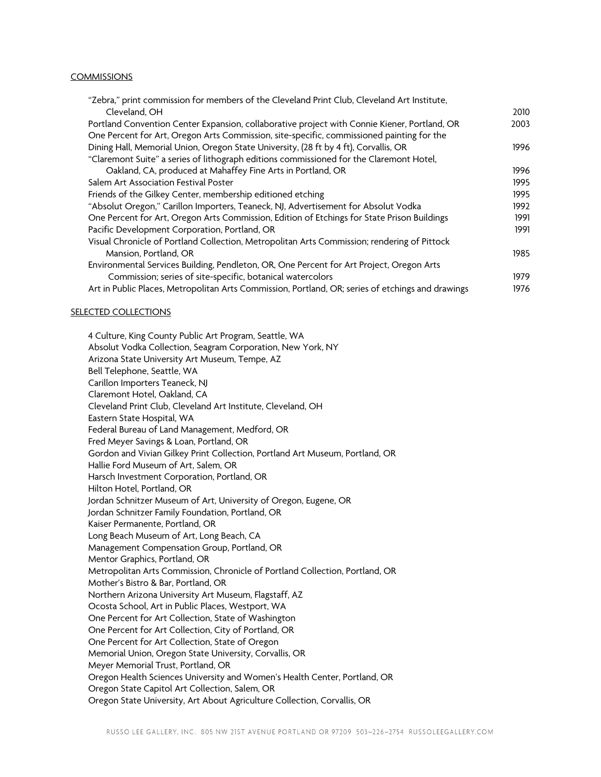#### COMMISSIONS

| "Zebra," print commission for members of the Cleveland Print Club, Cleveland Art Institute,       |      |
|---------------------------------------------------------------------------------------------------|------|
| Cleveland, OH                                                                                     | 2010 |
| Portland Convention Center Expansion, collaborative project with Connie Kiener, Portland, OR      | 2003 |
| One Percent for Art, Oregon Arts Commission, site-specific, commissioned painting for the         |      |
| Dining Hall, Memorial Union, Oregon State University, (28 ft by 4 ft), Corvallis, OR              | 1996 |
| "Claremont Suite" a series of lithograph editions commissioned for the Claremont Hotel,           |      |
| Oakland, CA, produced at Mahaffey Fine Arts in Portland, OR                                       | 1996 |
| Salem Art Association Festival Poster                                                             | 1995 |
| Friends of the Gilkey Center, membership editioned etching                                        | 1995 |
| "Absolut Oregon," Carillon Importers, Teaneck, NJ, Advertisement for Absolut Vodka                | 1992 |
| One Percent for Art, Oregon Arts Commission, Edition of Etchings for State Prison Buildings       | 1991 |
| Pacific Development Corporation, Portland, OR                                                     | 1991 |
| Visual Chronicle of Portland Collection, Metropolitan Arts Commission; rendering of Pittock       |      |
| Mansion, Portland, OR                                                                             | 1985 |
| Environmental Services Building, Pendleton, OR, One Percent for Art Project, Oregon Arts          |      |
| Commission; series of site-specific, botanical watercolors                                        | 1979 |
| Art in Public Places, Metropolitan Arts Commission, Portland, OR; series of etchings and drawings | 1976 |

#### **SELECTED COLLECTIONS**

4 Culture, King County Public Art Program, Seattle, WA Absolut Vodka Collection, Seagram Corporation, New York, NY Arizona State University Art Museum, Tempe, AZ Bell Telephone, Seattle, WA Carillon Importers Teaneck, NJ Claremont Hotel, Oakland, CA Cleveland Print Club, Cleveland Art Institute, Cleveland, OH Eastern State Hospital, WA Federal Bureau of Land Management, Medford, OR Fred Meyer Savings & Loan, Portland, OR Gordon and Vivian Gilkey Print Collection, Portland Art Museum, Portland, OR Hallie Ford Museum of Art, Salem, OR Harsch Investment Corporation, Portland, OR Hilton Hotel, Portland, OR Jordan Schnitzer Museum of Art, University of Oregon, Eugene, OR Jordan Schnitzer Family Foundation, Portland, OR Kaiser Permanente, Portland, OR Long Beach Museum of Art, Long Beach, CA Management Compensation Group, Portland, OR Mentor Graphics, Portland, OR Metropolitan Arts Commission, Chronicle of Portland Collection, Portland, OR Mother's Bistro & Bar, Portland, OR Northern Arizona University Art Museum, Flagstaff, AZ Ocosta School, Art in Public Places, Westport, WA One Percent for Art Collection, State of Washington One Percent for Art Collection, City of Portland, OR One Percent for Art Collection, State of Oregon Memorial Union, Oregon State University, Corvallis, OR Meyer Memorial Trust, Portland, OR Oregon Health Sciences University and Women's Health Center, Portland, OR Oregon State Capitol Art Collection, Salem, OR Oregon State University, Art About Agriculture Collection, Corvallis, OR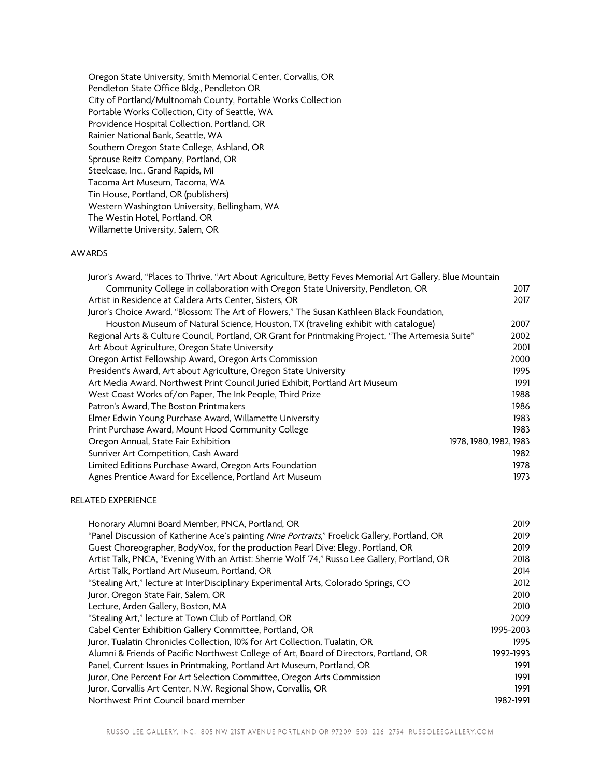Oregon State University, Smith Memorial Center, Corvallis, OR Pendleton State Office Bldg., Pendleton OR City of Portland/Multnomah County, Portable Works Collection Portable Works Collection, City of Seattle, WA Providence Hospital Collection, Portland, OR Rainier National Bank, Seattle, WA Southern Oregon State College, Ashland, OR Sprouse Reitz Company, Portland, OR Steelcase, Inc., Grand Rapids, MI Tacoma Art Museum, Tacoma, WA Tin House, Portland, OR (publishers) Western Washington University, Bellingham, WA The Westin Hotel, Portland, OR Willamette University, Salem, OR

## AWARDS

| Juror's Award, "Places to Thrive, "Art About Agriculture, Betty Feves Memorial Art Gallery, Blue Mountain |      |
|-----------------------------------------------------------------------------------------------------------|------|
| Community College in collaboration with Oregon State University, Pendleton, OR                            | 2017 |
| Artist in Residence at Caldera Arts Center, Sisters, OR                                                   | 2017 |
| Juror's Choice Award, "Blossom: The Art of Flowers," The Susan Kathleen Black Foundation,                 |      |
| Houston Museum of Natural Science, Houston, TX (traveling exhibit with catalogue)                         | 2007 |
| Regional Arts & Culture Council, Portland, OR Grant for Printmaking Project, "The Artemesia Suite"        | 2002 |
| Art About Agriculture, Oregon State University                                                            | 2001 |
| Oregon Artist Fellowship Award, Oregon Arts Commission                                                    | 2000 |
| President's Award, Art about Agriculture, Oregon State University                                         | 1995 |
| Art Media Award, Northwest Print Council Juried Exhibit, Portland Art Museum                              | 1991 |
| West Coast Works of/on Paper, The Ink People, Third Prize                                                 | 1988 |
| Patron's Award, The Boston Printmakers                                                                    | 1986 |
| Elmer Edwin Young Purchase Award, Willamette University                                                   | 1983 |
| Print Purchase Award, Mount Hood Community College                                                        | 1983 |
| Oregon Annual, State Fair Exhibition<br>1978, 1980, 1982, 1983                                            |      |
| Sunriver Art Competition, Cash Award                                                                      | 1982 |
| Limited Editions Purchase Award, Oregon Arts Foundation                                                   | 1978 |
| Agnes Prentice Award for Excellence, Portland Art Museum                                                  | 1973 |

#### RELATED EXPERIENCE

| Honorary Alumni Board Member, PNCA, Portland, OR                                               | 2019      |
|------------------------------------------------------------------------------------------------|-----------|
| "Panel Discussion of Katherine Ace's painting Nine Portraits," Froelick Gallery, Portland, OR  | 2019      |
| Guest Choreographer, BodyVox, for the production Pearl Dive: Elegy, Portland, OR               | 2019      |
| Artist Talk, PNCA, "Evening With an Artist: Sherrie Wolf '74," Russo Lee Gallery, Portland, OR | 2018      |
| Artist Talk, Portland Art Museum, Portland, OR                                                 | 2014      |
| "Stealing Art," lecture at InterDisciplinary Experimental Arts, Colorado Springs, CO           | 2012      |
| Juror, Oregon State Fair, Salem, OR                                                            | 2010      |
| Lecture, Arden Gallery, Boston, MA                                                             | 2010      |
| "Stealing Art," lecture at Town Club of Portland, OR                                           | 2009      |
| Cabel Center Exhibition Gallery Committee, Portland, OR                                        | 1995-2003 |
| Juror, Tualatin Chronicles Collection, 10% for Art Collection, Tualatin, OR                    | 1995      |
| Alumni & Friends of Pacific Northwest College of Art, Board of Directors, Portland, OR         | 1992-1993 |
| Panel, Current Issues in Printmaking, Portland Art Museum, Portland, OR                        | 1991      |
| Juror, One Percent For Art Selection Committee, Oregon Arts Commission                         | 1991      |
| Juror, Corvallis Art Center, N.W. Regional Show, Corvallis, OR                                 | 1991      |
| Northwest Print Council board member                                                           | 1982-1991 |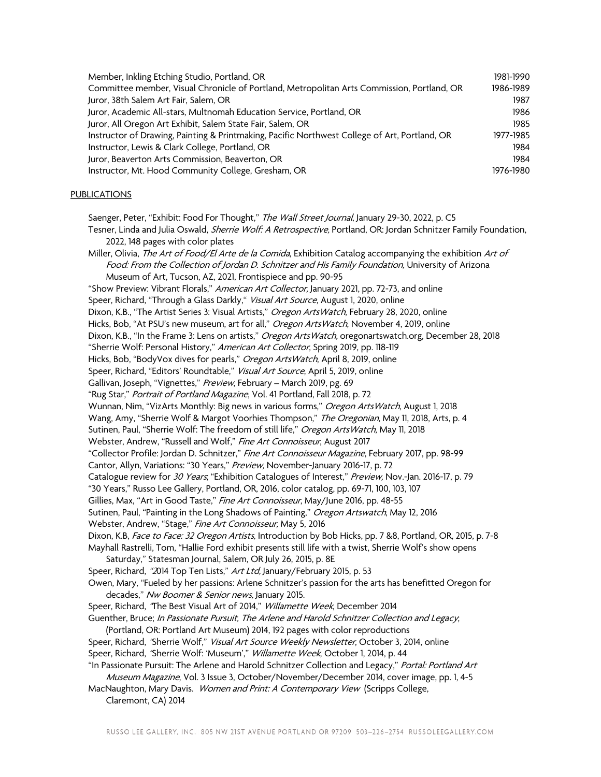| Member, Inkling Etching Studio, Portland, OR                                                  | 1981-1990 |
|-----------------------------------------------------------------------------------------------|-----------|
| Committee member, Visual Chronicle of Portland, Metropolitan Arts Commission, Portland, OR    | 1986-1989 |
| Juror, 38th Salem Art Fair, Salem, OR                                                         | 1987      |
| Juror, Academic All-stars, Multnomah Education Service, Portland, OR                          | 1986      |
| Juror, All Oregon Art Exhibit, Salem State Fair, Salem, OR                                    | 1985      |
| Instructor of Drawing, Painting & Printmaking, Pacific Northwest College of Art, Portland, OR | 1977-1985 |
| Instructor, Lewis & Clark College, Portland, OR                                               | 1984      |
| Juror, Beaverton Arts Commission, Beaverton, OR                                               | 1984      |
| Instructor, Mt. Hood Community College, Gresham, OR                                           | 1976-1980 |

## PUBLICATIONS

Saenger, Peter, "Exhibit: Food For Thought," The Wall Street Journal, January 29-30, 2022, p. C5

Tesner, Linda and Julia Oswald, *Sherrie Wolf: A Retrospective*, Portland, OR: Jordan Schnitzer Family Foundation, 2022, 148 pages with color plates

Miller, Olivia, The Art of Food/El Arte de la Comida, Exhibition Catalog accompanying the exhibition Art of Food: From the Collection of Jordan D. Schnitzer and His Family Foundation, University of Arizona Museum of Art, Tucson, AZ, 2021, Frontispiece and pp. 90-95

"Show Preview: Vibrant Florals," American Art Collector, January 2021, pp. 72-73, and online Speer, Richard, "Through a Glass Darkly," *Visual Art Source*, August 1, 2020, online Dixon, K.B., "The Artist Series 3: Visual Artists," Oregon Arts Watch, February 28, 2020, online Hicks, Bob, "At PSU's new museum, art for all," Oregon Arts Watch, November 4, 2019, online Dixon, K.B., "In the Frame 3: Lens on artists," Oregon ArtsWatch, oregonartswatch.org, December 28, 2018 "Sherrie Wolf: Personal History," American Art Collector, Spring 2019, pp. 118-119 Hicks, Bob, "BodyVox dives for pearls," Oregon Arts Watch, April 8, 2019, online Speer, Richard, "Editors' Roundtable," Visual Art Source, April 5, 2019, online Gallivan, Joseph, "Vignettes," Preview, February - March 2019, pg. 69 "Rug Star," Portrait of Portland Magazine, Vol. 41 Portland, Fall 2018, p. 72 Wunnan, Nim, "VizArts Monthly: Big news in various forms," Oregon Arts Watch, August 1, 2018 Wang, Amy, "Sherrie Wolf & Margot Voorhies Thompson," The Oregonian, May 11, 2018, Arts, p. 4 Sutinen, Paul, "Sherrie Wolf: The freedom of still life," Oregon Arts Watch, May 11, 2018 Webster, Andrew, "Russell and Wolf," Fine Art Connoisseur, August 2017 "Collector Profile: Jordan D. Schnitzer," Fine Art Connoisseur Magazine, February 2017, pp. 98-99 Cantor, Allyn, Variations: "30 Years," Preview, November-January 2016-17, p. 72 Catalogue review for 30 Years; "Exhibition Catalogues of Interest," Preview, Nov.-Jan. 2016-17, p. 79 "30 Years," Russo Lee Gallery, Portland, OR, 2016, color catalog, pp. 69-71, 100, 103, 107 Gillies, Max, "Art in Good Taste," Fine Art Connoisseur, May/June 2016, pp. 48-55 Sutinen, Paul, "Painting in the Long Shadows of Painting," Oregon Artswatch, May 12, 2016 Webster, Andrew, "Stage," Fine Art Connoisseur, May 5, 2016 Dixon, K.B, Face to Face: 32 Oregon Artists, Introduction by Bob Hicks, pp. 7 &8, Portland, OR, 2015, p. 7-8 Mayhall Rastrelli, Tom, "Hallie Ford exhibit presents still life with a twist, Sherrie Wolf's show opens Saturday," Statesman Journal, Salem, OR July 26, 2015, p. 8E Speer, Richard, "2014 Top Ten Lists," Art Ltd, January/February 2015, p. 53 Owen, Mary, "Fueled by her passions: Arlene Schnitzer's passion for the arts has benefitted Oregon for decades," Nw Boomer & Senior news, January 2015. Speer, Richard, "The Best Visual Art of 2014," Willamette Week, December 2014 Guenther, Bruce; In Passionate Pursuit, The Arlene and Harold Schnitzer Collection and Legacy; (Portland, OR: Portland Art Museum) 2014, 192 pages with color reproductions Speer, Richard, 'Sherrie Wolf," Visual Art Source Weekly Newsletter, October 3, 2014, online

Speer, Richard, 'Sherrie Wolf: 'Museum'," Willamette Week, October 1, 2014, p. 44

"In Passionate Pursuit: The Arlene and Harold Schnitzer Collection and Legacy," Portal: Portland Art Museum Magazine, Vol. 3 Issue 3, October/November/December 2014, cover image, pp. 1, 4-5

MacNaughton, Mary Davis. Women and Print: A Contemporary View (Scripps College, Claremont, CA) 2014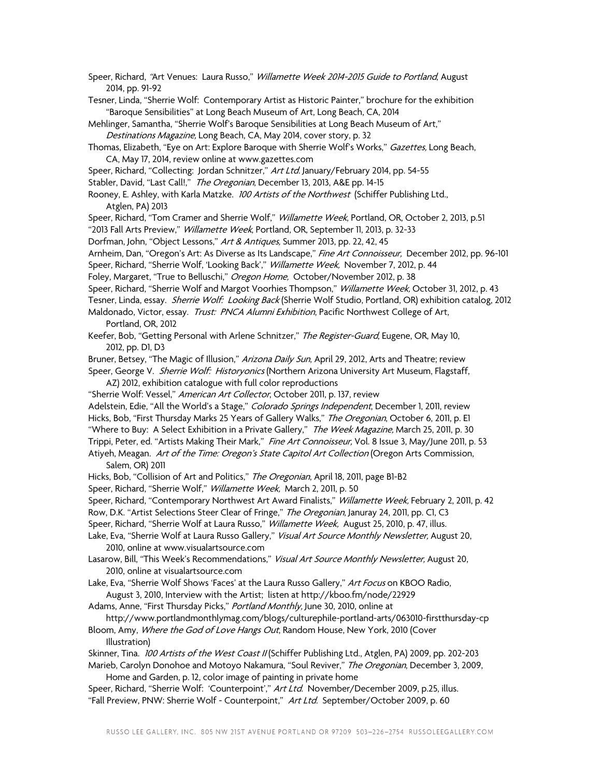Speer, Richard, "Art Venues: Laura Russo," Willamette Week 2014-2015 Guide to Portland, August 2014, pp. 91-92 Tesner, Linda, "Sherrie Wolf: Contemporary Artist as Historic Painter," brochure for the exhibition "Baroque Sensibilities" at Long Beach Museum of Art, Long Beach, CA, 2014 Mehlinger, Samantha, "Sherrie Wolf's Baroque Sensibilities at Long Beach Museum of Art," Destinations Magazine, Long Beach, CA, May 2014, cover story, p. 32 Thomas, Elizabeth, "Eye on Art: Explore Baroque with Sherrie Wolf's Works," *Gazettes,* Long Beach, CA, May 17, 2014, review online at www.gazettes.com Speer, Richard, "Collecting: Jordan Schnitzer," Art Ltd. January/February 2014, pp. 54-55 Stabler, David, "Last Call!," The Oregonian, December 13, 2013, A&E pp. 14-15 Rooney, E. Ashley, with Karla Matzke. 100 Artists of the Northwest (Schiffer Publishing Ltd., Atglen, PA) 2013 Speer, Richard, "Tom Cramer and Sherrie Wolf," *Willamette Week*, Portland, OR, October 2, 2013, p.51 "2013 Fall Arts Preview," Willamette Week, Portland, OR, September 11, 2013, p. 32-33 Dorfman, John, "Object Lessons," Art & Antiques, Summer 2013, pp. 22, 42, 45 Arnheim, Dan, "Oregon's Art: As Diverse as Its Landscape," Fine Art Connoisseur, December 2012, pp. 96-101 Speer, Richard, "Sherrie Wolf, 'Looking Back'," Willamette Week, November 7, 2012, p. 44 Foley, Margaret, "True to Belluschi," *Oregon Home*, October/November 2012, p. 38 Speer, Richard, "Sherrie Wolf and Margot Voorhies Thompson," Willamette Week, October 31, 2012, p. 43 Tesner, Linda, essay. *Sherrie Wolf: Looking Back* (Sherrie Wolf Studio, Portland, OR) exhibition catalog, 2012 Maldonado, Victor, essay. Trust: PNCA Alumni Exhibition, Pacific Northwest College of Art, Portland, OR, 2012 Keefer, Bob, "Getting Personal with Arlene Schnitzer," The Register-Guard, Eugene, OR, May 10, 2012, pp. D1, D3 Bruner, Betsey, "The Magic of Illusion," Arizona Daily Sun, April 29, 2012, Arts and Theatre; review Speer, George V. Sherrie Wolf: Historyonics (Northern Arizona University Art Museum, Flagstaff, AZ) 2012, exhibition catalogue with full color reproductions "Sherrie Wolf: Vessel," American Art Collector, October 2011, p. 137, review Adelstein, Edie, "All the World's a Stage," Colorado Springs Independent, December 1, 2011, review Hicks, Bob, "First Thursday Marks 25 Years of Gallery Walks," The Oregonian, October 6, 2011, p. El "Where to Buy: A Select Exhibition in a Private Gallery," The Week Magazine, March 25, 2011, p. 30 Trippi, Peter, ed. "Artists Making Their Mark," Fine Art Connoisseur, Vol. 8 Issue 3, May/June 2011, p. 53 Atiyeh, Meagan. Art of the Time: Oregon's State Capitol Art Collection (Oregon Arts Commission, Salem, OR) 2011 Hicks, Bob, "Collision of Art and Politics," The Oregonian, April 18, 2011, page B1-B2 Speer, Richard, "Sherrie Wolf," Willamette Week, March 2, 2011, p. 50 Speer, Richard, "Contemporary Northwest Art Award Finalists," Willamette Week, February 2, 2011, p. 42 Row, D.K. "Artist Selections Steer Clear of Fringe," The Oregonian, Januray 24, 2011, pp. C1, C3 Speer, Richard, "Sherrie Wolf at Laura Russo," Willamette Week, August 25, 2010, p. 47, illus. Lake, Eva, "Sherrie Wolf at Laura Russo Gallery," *Visual Art Source Monthly Newsletter*, August 20, 2010, online at www.visualartsource.com Lasarow, Bill, "This Week's Recommendations," *Visual Art Source Monthly Newsletter*, August 20, 2010, online at visualartsource.com Lake, Eva, "Sherrie Wolf Shows 'Faces' at the Laura Russo Gallery," Art Focus on KBOO Radio, August 3, 2010, Interview with the Artist; listen at http://kboo.fm/node/22929 Adams, Anne, "First Thursday Picks," Portland Monthly, June 30, 2010, online at http://www.portlandmonthlymag.com/blogs/culturephile-portland-arts/063010-firstthursday-cp Bloom, Amy, Where the God of Love Hangs Out, Random House, New York, 2010 (Cover Illustration) Skinner, Tina. 100 Artists of the West Coast II (Schiffer Publishing Ltd., Atglen, PA) 2009, pp. 202-203 Marieb, Carolyn Donohoe and Motoyo Nakamura, "Soul Reviver," *The Oregonian*, December 3, 2009, Home and Garden, p. 12, color image of painting in private home Speer, Richard, "Sherrie Wolf: 'Counterpoint'," Art Ltd. November/December 2009, p.25, illus. "Fall Preview, PNW: Sherrie Wolf - Counterpoint," Art Ltd. September/October 2009, p. 60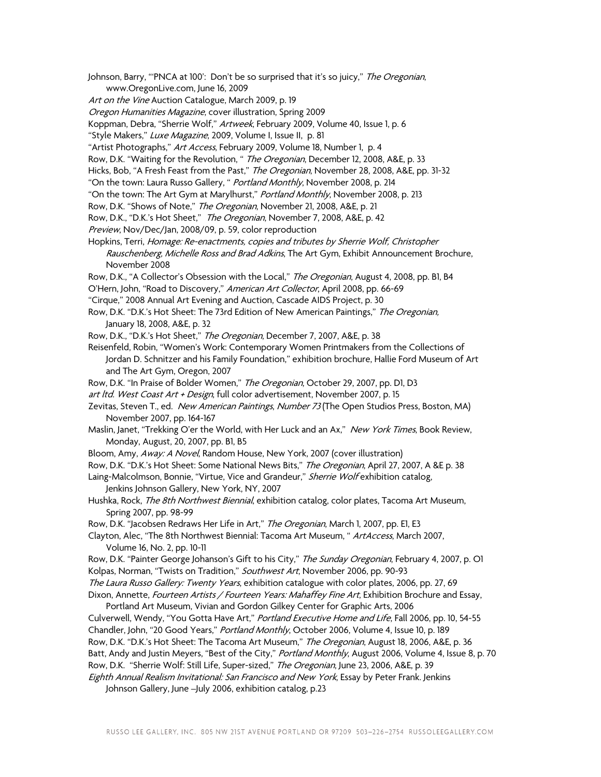Johnson, Barry, "'PNCA at 100': Don't be so surprised that it's so juicy," The Oregonian, www.OregonLive.com, June 16, 2009

- Art on the Vine Auction Catalogue, March 2009, p. 19
- Oregon Humanities Magazine, cover illustration, Spring 2009

Koppman, Debra, "Sherrie Wolf," Artweek, February 2009, Volume 40, Issue 1, p. 6

"Style Makers," Luxe Magazine, 2009, Volume I, Issue II, p. 81

"Artist Photographs," Art Access, February 2009, Volume 18, Number 1, p. 4

Row, D.K. "Waiting for the Revolution, " The Oregonian, December 12, 2008, A&E, p. 33

Hicks, Bob, "A Fresh Feast from the Past," The Oregonian, November 28, 2008, A&E, pp. 31-32

"On the town: Laura Russo Gallery, " Portland Monthly, November 2008, p. 214

"On the town: The Art Gym at Marylhurst," Portland Monthly, November 2008, p. 213

Row, D.K. "Shows of Note," The Oregonian, November 21, 2008, A&E, p. 21

Row, D.K., "D.K.'s Hot Sheet," The Oregonian, November 7, 2008, A&E, p. 42

Preview, Nov/Dec/Jan, 2008/09, p. 59, color reproduction

Hopkins, Terri, Homage: Re-enactments, copies and tributes by Sherrie Wolf, Christopher Rauschenberg, Michelle Ross and Brad Adkins, The Art Gym, Exhibit Announcement Brochure, November 2008

Row, D.K., "A Collector's Obsession with the Local," The Oregonian, August 4, 2008, pp. B1, B4

O'Hern, John, "Road to Discovery," American Art Collector, April 2008, pp. 66-69

- "Cirque," 2008 Annual Art Evening and Auction, Cascade AIDS Project, p. 30
- Row, D.K. "D.K.'s Hot Sheet: The 73rd Edition of New American Paintings," The Oregonian, January 18, 2008, A&E, p. 32

Row, D.K., "D.K.'s Hot Sheet," The Oregonian, December 7, 2007, A&E, p. 38

Reisenfeld, Robin, "Women's Work: Contemporary Women Printmakers from the Collections of Jordan D. Schnitzer and his Family Foundation," exhibition brochure, Hallie Ford Museum of Art and The Art Gym, Oregon, 2007

Row, D.K. "In Praise of Bolder Women," The Oregonian, October 29, 2007, pp. D1, D3

art ltd. West Coast Art + Design, full color advertisement, November 2007, p. 15

Zevitas, Steven T., ed. New American Paintings, Number 73 (The Open Studios Press, Boston, MA) November 2007, pp. 164-167

Maslin, Janet, "Trekking O'er the World, with Her Luck and an Ax," New York Times, Book Review, Monday, August, 20, 2007, pp. B1, B5

Bloom, Amy, Away: A Novel, Random House, New York, 2007 (cover illustration)

Row, D.K. "D.K.'s Hot Sheet: Some National News Bits," The Oregonian, April 27, 2007, A &E p. 38

Laing-Malcolmson, Bonnie, "Virtue, Vice and Grandeur," Sherrie Wolf exhibition catalog, Jenkins Johnson Gallery, New York, NY, 2007

Hushka, Rock, The 8th Northwest Biennial, exhibition catalog, color plates, Tacoma Art Museum, Spring 2007, pp. 98-99

Row, D.K. "Jacobsen Redraws Her Life in Art," The Oregonian, March 1, 2007, pp. E1, E3

Clayton, Alec, "The 8th Northwest Biennial: Tacoma Art Museum, " ArtAccess, March 2007, Volume 16, No. 2, pp. 10-11

Row, D.K. "Painter George Johanson's Gift to his City," The Sunday Oregonian, February 4, 2007, p. Ol Kolpas, Norman, "Twists on Tradition," Southwest Art, November 2006, pp. 90-93 The Laura Russo Gallery: Twenty Years, exhibition catalogue with color plates, 2006, pp. 27, 69

Dixon, Annette, *Fourteen Artists / Fourteen Years: Mahaffey Fine Art*, Exhibition Brochure and Essay, Portland Art Museum, Vivian and Gordon Gilkey Center for Graphic Arts, 2006

Culverwell, Wendy, "You Gotta Have Art," Portland Executive Home and Life, Fall 2006, pp. 10, 54-55 Chandler, John, "20 Good Years," Portland Monthly, October 2006, Volume 4, Issue 10, p. 189 Row, D.K. "D.K.'s Hot Sheet: The Tacoma Art Museum," The Oregonian, August 18, 2006, A&E, p. 36

Batt, Andy and Justin Meyers, "Best of the City," Portland Monthly, August 2006, Volume 4, Issue 8, p. 70

Row, D.K. "Sherrie Wolf: Still Life, Super-sized," The Oregonian, June 23, 2006, A&E, p. 39

Eighth Annual Realism Invitational: San Francisco and New York, Essay by Peter Frank. Jenkins

Johnson Gallery, June -July 2006, exhibition catalog, p.23